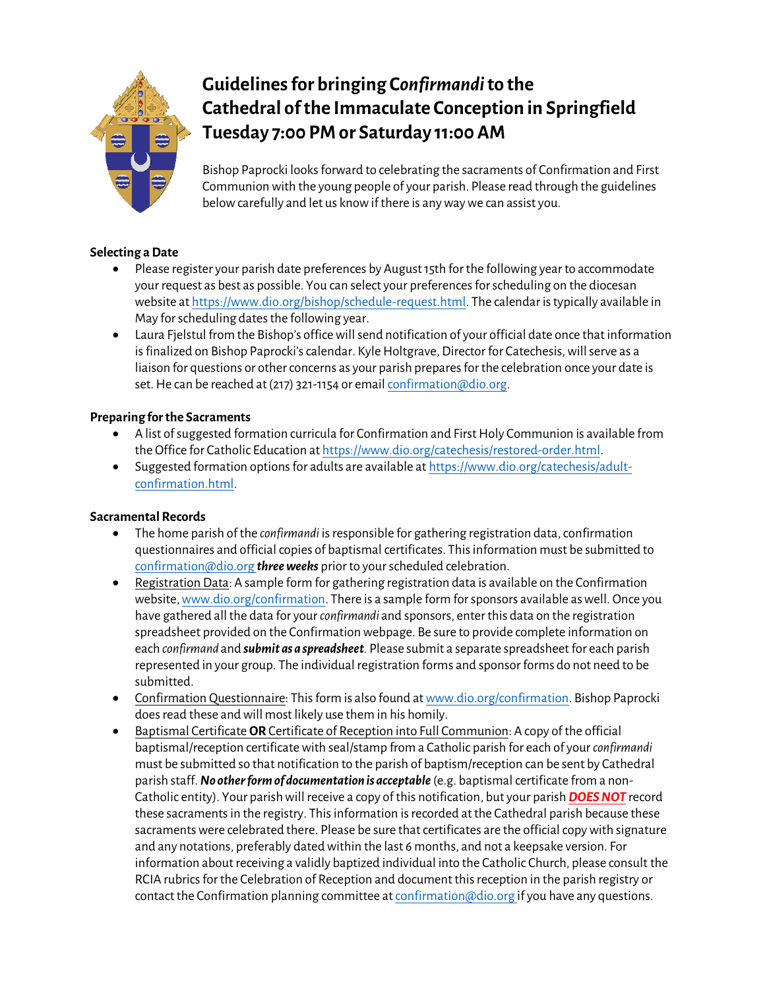

# **Guidelines for bringing C***onfirmandi***to the Cathedral of the Immaculate Conception in Springfield Tuesday 7:00 PM or Saturday 11:00 AM**

Bishop Paprocki looks forward to celebrating the sacraments of Confirmation and First Communion with the young people of your parish. Please read through the guidelines below carefully and let us know if there is any way we can assist you.

# **Selecting a Date**

- Please register your parish date preferences by August 15th for the following year to accommodate your request as best as possible. You can select your preferences for scheduling on the diocesan website a[t https://www.dio.org/bishop/schedule-request.html.](https://www.dio.org/bishop/schedule-request.html) The calendar is typically available in May for scheduling dates the following year.
- Laura Fjelstul from the Bishop's office will send notification of your official date once that information is finalized on Bishop Paprocki's calendar. Kyle Holtgrave, Director for Catechesis, will serve as a liaison for questions or other concerns as your parish prepares for the celebration once your date is set. He can be reached at (217) 321-1154 or emai[l confirmation@dio.org.](mailto:confirmation@dio.org)

# **Preparing for the Sacraments**

- A list of suggested formation curricula for Confirmation and First Holy Communion is available from the Office for Catholic Education a[t https://www.dio.org/catechesis/restored-order.html.](https://www.dio.org/catechesis/restored-order.html)
- Suggested formation options for adults are available a[t https://www.dio.org/catechesis/adult](https://www.dio.org/catechesis/adult-confirmation.html)[confirmation.html.](https://www.dio.org/catechesis/adult-confirmation.html)

## **Sacramental Records**

- The home parish of the *confirmandi* is responsible for gathering registration data, confirmation questionnaires and official copies of baptismal certificates. This information must be submitted to [confirmation@dio.org](mailto:confirmation@dio.org) *three weeks* prior to your scheduled celebration.
- Registration Data: A sample form for gathering registration data is available on the Confirmation website, [www.dio.org/confirmation.](http://www.dio.org/confirmation) There is a sample form for sponsors available as well. Once you have gathered all the data for your *confirmandi* and sponsors, enter this data on the registration spreadsheet provided on the Confirmation webpage. Be sure to provide complete information on each *confirmand* and *submit as a spreadsheet.* Please submit a separate spreadsheet for each parish represented in your group. The individual registration forms and sponsor forms do not need to be submitted.
- Confirmation Questionnaire: This form is also found a[t www.dio.org/confirmation.](http://www.dio.org/confirmation) Bishop Paprocki does read these and will most likely use them in his homily.
- Baptismal Certificate **OR** Certificate of Reception into Full Communion: A copy of the official baptismal/reception certificate with seal/stamp from a Catholic parish for each of your *confirmandi* must be submitted so that notification to the parish of baptism/reception can be sent by Cathedral parish staff.*No other form of documentation is acceptable* (e.g. baptismal certificate from a non-Catholic entity). Your parish will receive a copy of this notification, but your parish *DOES NOT* record these sacraments in the registry. This information is recorded at the Cathedral parish because these sacraments were celebrated there. Please be sure that certificates are the official copy with signature and any notations, preferably dated within the last 6 months, and not a keepsake version. For information about receiving a validly baptized individual into the Catholic Church, please consult the RCIA rubrics for the Celebration of Reception and document this reception in the parish registry or contact the Confirmation planning committee a[t confirmation@dio.org](mailto:confirmation@dio.org) if you have any questions.